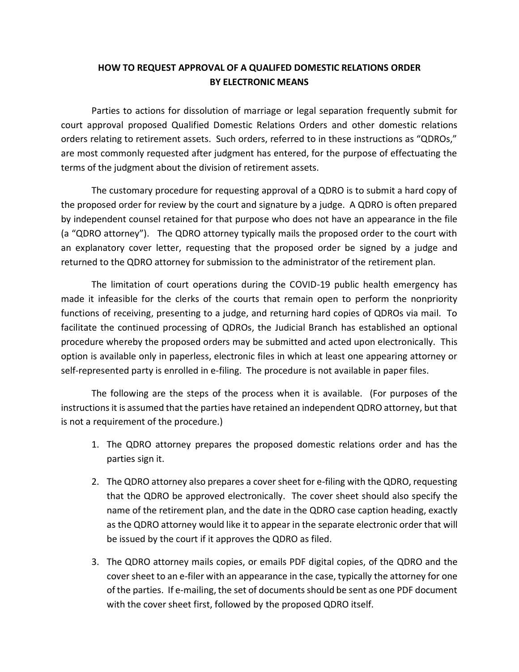## **HOW TO REQUEST APPROVAL OF A QUALIFED DOMESTIC RELATIONS ORDER BY ELECTRONIC MEANS**

Parties to actions for dissolution of marriage or legal separation frequently submit for court approval proposed Qualified Domestic Relations Orders and other domestic relations orders relating to retirement assets. Such orders, referred to in these instructions as "QDROs," are most commonly requested after judgment has entered, for the purpose of effectuating the terms of the judgment about the division of retirement assets.

The customary procedure for requesting approval of a QDRO is to submit a hard copy of the proposed order for review by the court and signature by a judge. A QDRO is often prepared by independent counsel retained for that purpose who does not have an appearance in the file (a "QDRO attorney"). The QDRO attorney typically mails the proposed order to the court with an explanatory cover letter, requesting that the proposed order be signed by a judge and returned to the QDRO attorney for submission to the administrator of the retirement plan.

The limitation of court operations during the COVID-19 public health emergency has made it infeasible for the clerks of the courts that remain open to perform the nonpriority functions of receiving, presenting to a judge, and returning hard copies of QDROs via mail. To facilitate the continued processing of QDROs, the Judicial Branch has established an optional procedure whereby the proposed orders may be submitted and acted upon electronically. This option is available only in paperless, electronic files in which at least one appearing attorney or self-represented party is enrolled in e-filing. The procedure is not available in paper files.

The following are the steps of the process when it is available. (For purposes of the instructions it is assumed that the parties have retained an independent QDRO attorney, but that is not a requirement of the procedure.)

- 1. The QDRO attorney prepares the proposed domestic relations order and has the parties sign it.
- 2. The QDRO attorney also prepares a cover sheet for e-filing with the QDRO, requesting that the QDRO be approved electronically. The cover sheet should also specify the name of the retirement plan, and the date in the QDRO case caption heading, exactly as the QDRO attorney would like it to appear in the separate electronic order that will be issued by the court if it approves the QDRO as filed.
- 3. The QDRO attorney mails copies, or emails PDF digital copies, of the QDRO and the cover sheet to an e-filer with an appearance in the case, typically the attorney for one of the parties. If e-mailing, the set of documents should be sent as one PDF document with the cover sheet first, followed by the proposed QDRO itself.